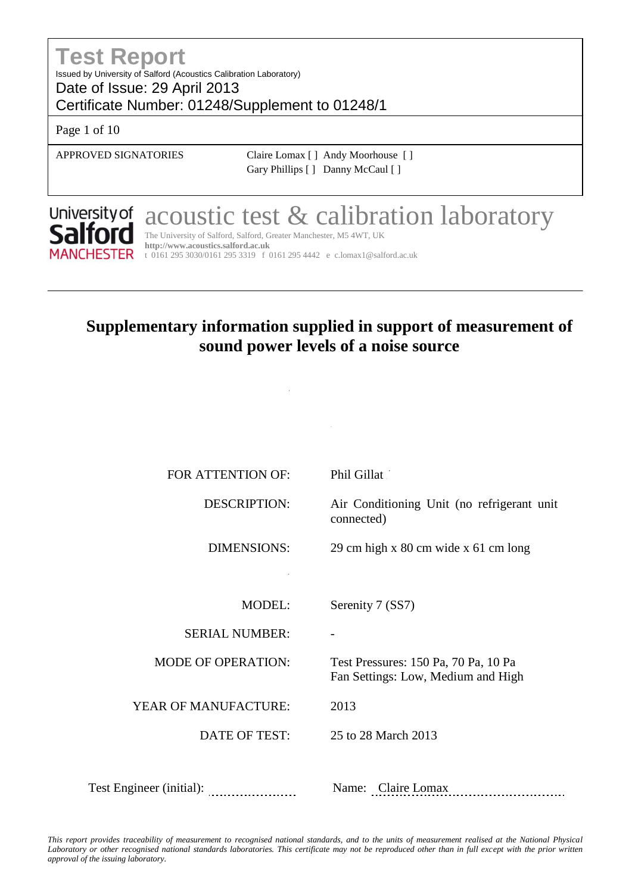## **Test Report** Issued by University of Salford (Acoustics Calibration Laboratory) Date of Issue: 29 April 2013

Certificate Number: 01248/Supplement to 01248/1

Page 1 of 10

APPROVED SIGNATORIES Claire Lomax [ ] Andy Moorhouse [ ] Gary Phillips [ ] Danny McCaul [ ]



acoustic test & calibration laboratory

The University of Salford, Salford, Greater Manchester, M5 4WT, UK **http://www.acoustics.salford.ac.uk** t 0161 295 3030/0161 295 3319 f 0161 295 4442 e [c.lomax1@salford.ac.uk](mailto:c.lomax1@salford.ac.uk)

COMPANY NAME & ADDRESS: Silentair Limited

# **Supplementary information supplied in support of measurement of sound power levels of a noise source**

Leeds

| FOR ATTENTION OF:         | Phil Gillat                                                                |
|---------------------------|----------------------------------------------------------------------------|
| <b>DESCRIPTION:</b>       | Air Conditioning Unit (no refrigerant unit<br>connected)                   |
| <b>DIMENSIONS:</b>        | 29 cm high x 80 cm wide x 61 cm long                                       |
|                           |                                                                            |
| <b>MODEL:</b>             | Serenity 7 (SS7)                                                           |
| <b>SERIAL NUMBER:</b>     |                                                                            |
| <b>MODE OF OPERATION:</b> | Test Pressures: 150 Pa, 70 Pa, 10 Pa<br>Fan Settings: Low, Medium and High |
| YEAR OF MANUFACTURE:      | 2013                                                                       |
| DATE OF TEST:             | 25 to 28 March 2013                                                        |
|                           |                                                                            |
| Test Engineer (initial):  | Name: Claire Lomax                                                         |
|                           |                                                                            |

*This report provides traceability of measurement to recognised national standards, and to the units of measurement realised at the National Physical*  Laboratory or other recognised national standards laboratories. This certificate may not be reproduced other than in full except with the prior written *approval of the issuing laboratory.*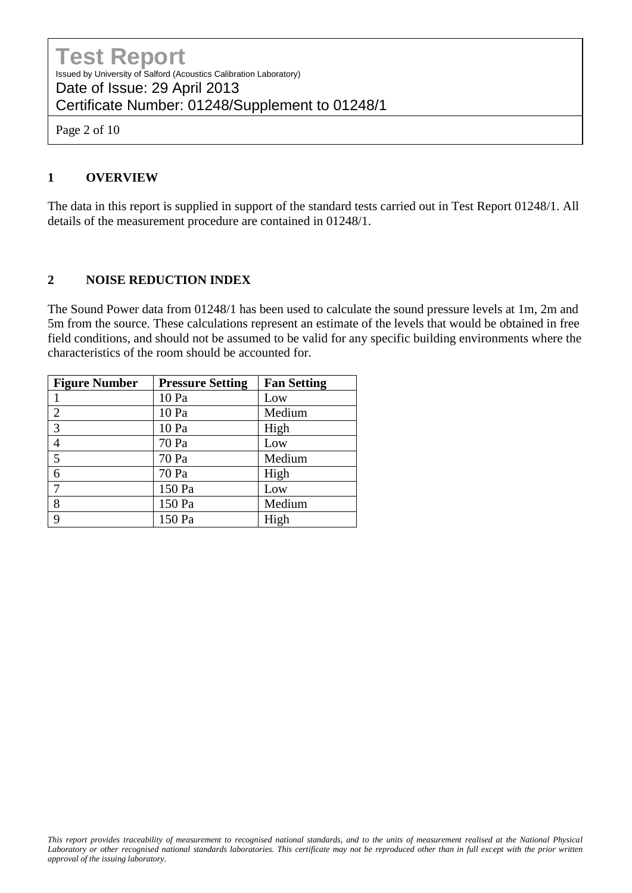Page 2 of 10

#### **1 OVERVIEW**

The data in this report is supplied in support of the standard tests carried out in Test Report 01248/1. All details of the measurement procedure are contained in 01248/1.

#### **2 NOISE REDUCTION INDEX**

The Sound Power data from 01248/1 has been used to calculate the sound pressure levels at 1m, 2m and 5m from the source. These calculations represent an estimate of the levels that would be obtained in free field conditions, and should not be assumed to be valid for any specific building environments where the characteristics of the room should be accounted for.

| <b>Figure Number</b> | <b>Pressure Setting</b> | <b>Fan Setting</b> |
|----------------------|-------------------------|--------------------|
|                      | 10 Pa                   | Low                |
| $\overline{2}$       | 10 Pa                   | Medium             |
| 3                    | 10 Pa                   | High               |
|                      | 70 Pa                   | Low                |
| 5                    | 70 Pa                   | Medium             |
| 6                    | 70 Pa                   | High               |
|                      | 150 Pa                  | Low                |
| 8                    | 150 Pa                  | Medium             |
| $\mathbf Q$          | 150 Pa                  | High               |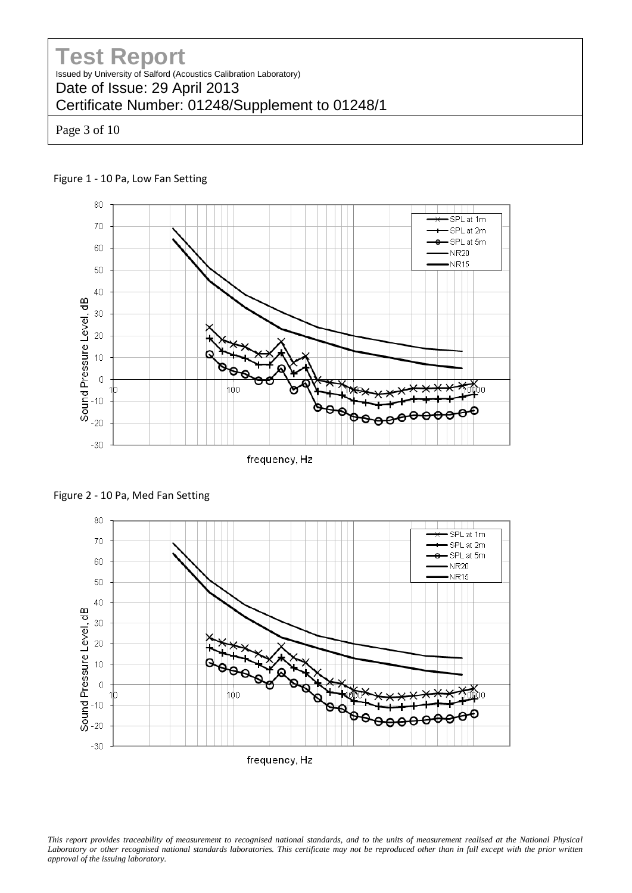Page 3 of 10

#### Figure 1 - 10 Pa, Low Fan Setting



frequency, Hz





*This report provides traceability of measurement to recognised national standards, and to the units of measurement realised at the National Physical*  Laboratory or other recognised national standards laboratories. This certificate may not be reproduced other than in full except with the prior written *approval of the issuing laboratory.*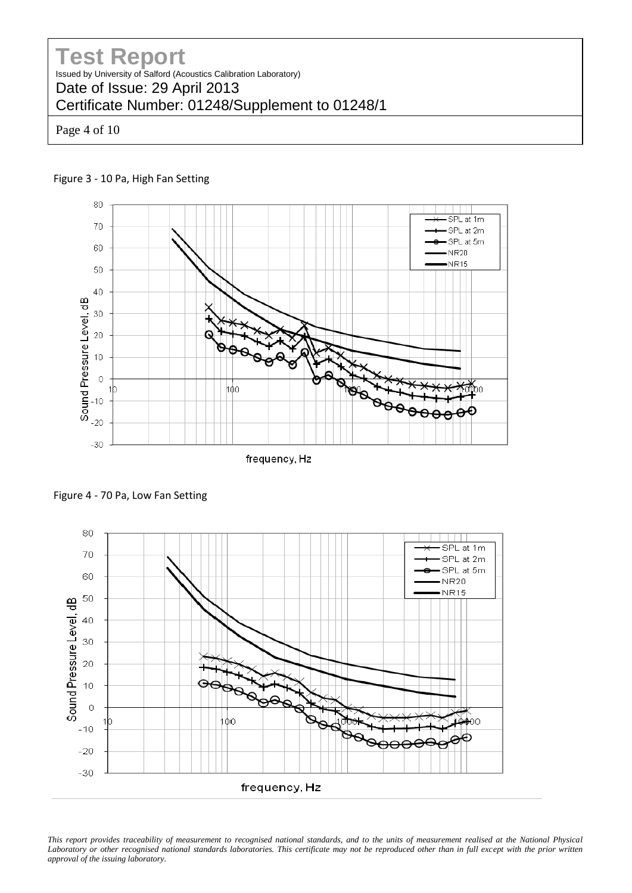Page 4 of 10





frequency, Hz

Figure 4 - 70 Pa, Low Fan Setting



*This report provides traceability of measurement to recognised national standards, and to the units of measurement realised at the National Physical*  Laboratory or other recognised national standards laboratories. This certificate may not be reproduced other than in full except with the prior written *approval of the issuing laboratory.*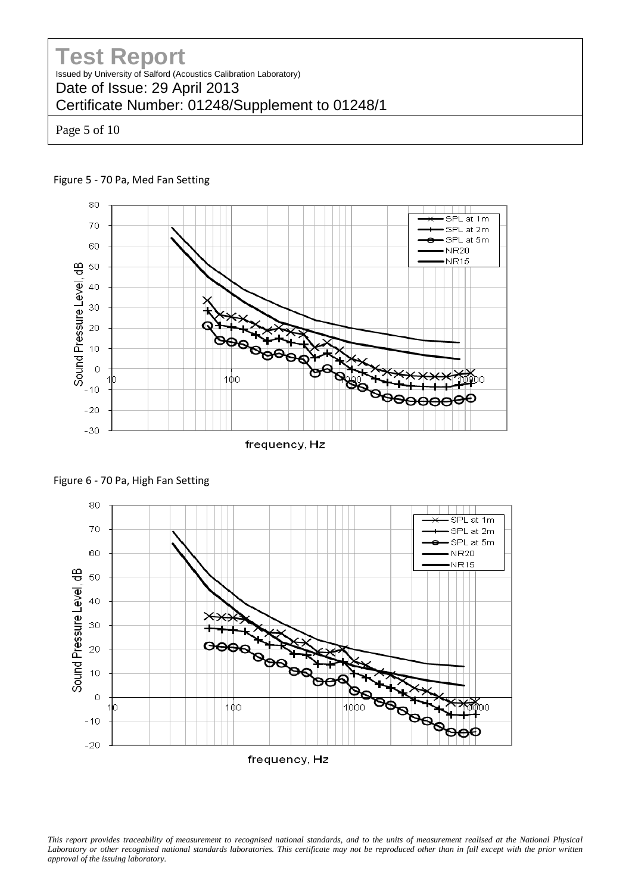Page 5 of 10





Figure 6 - 70 Pa, High Fan Setting



*This report provides traceability of measurement to recognised national standards, and to the units of measurement realised at the National Physical*  Laboratory or other recognised national standards laboratories. This certificate may not be reproduced other than in full except with the prior written *approval of the issuing laboratory.*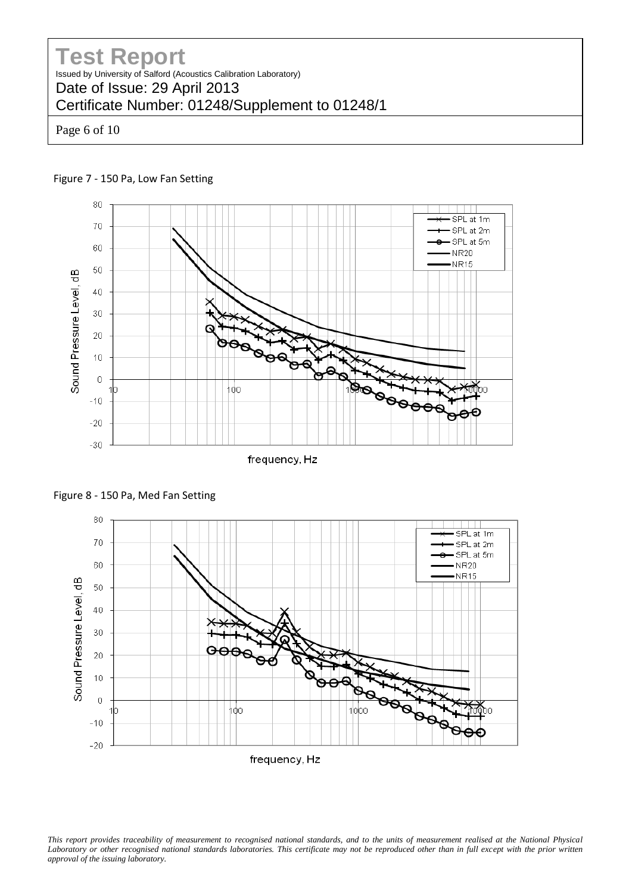Page 6 of 10





frequency, Hz





*This report provides traceability of measurement to recognised national standards, and to the units of measurement realised at the National Physical*  Laboratory or other recognised national standards laboratories. This certificate may not be reproduced other than in full except with the prior written *approval of the issuing laboratory.*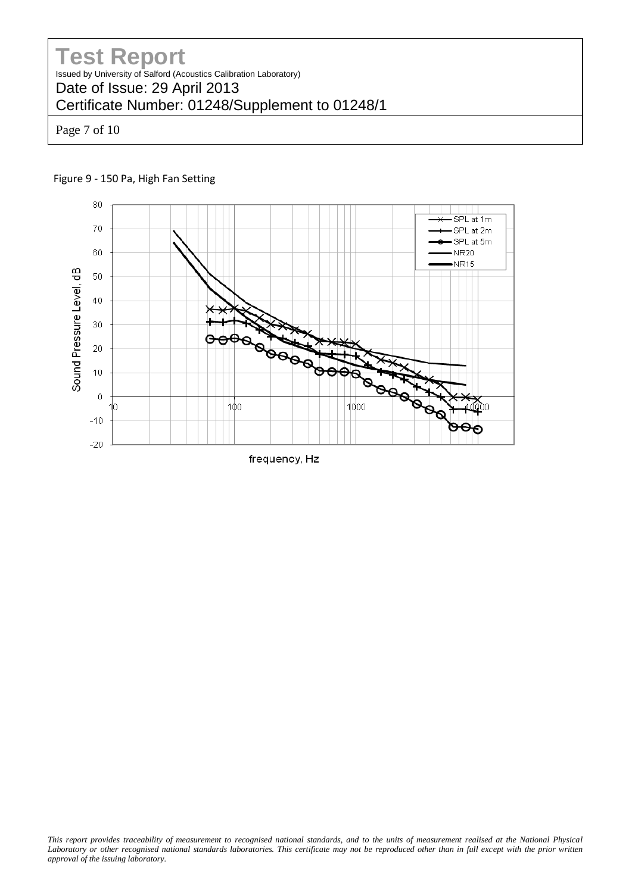Page 7 of 10



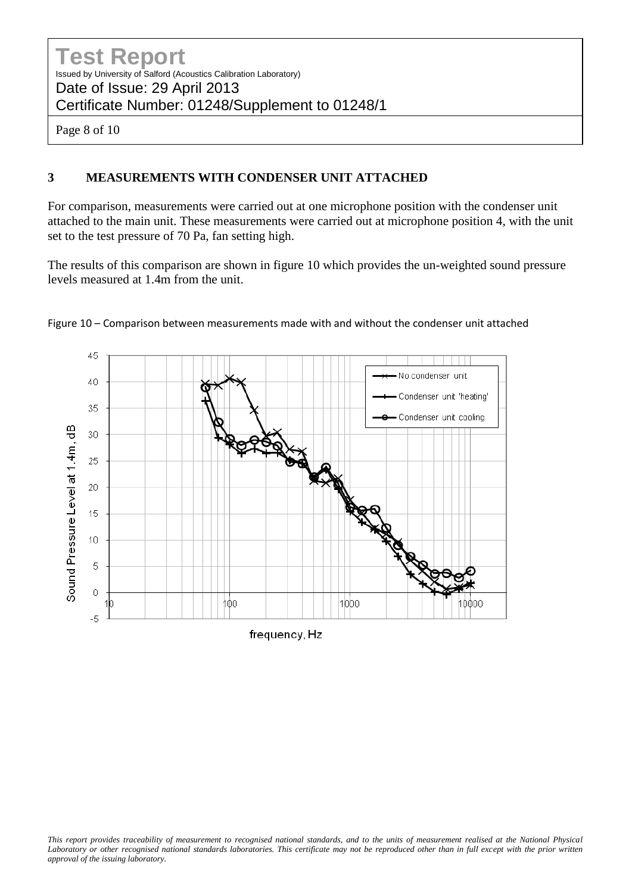Page 8 of 10

#### **3 MEASUREMENTS WITH CONDENSER UNIT ATTACHED**

For comparison, measurements were carried out at one microphone position with the condenser unit attached to the main unit. These measurements were carried out at microphone position 4, with the unit set to the test pressure of 70 Pa, fan setting high.

The results of this comparison are shown in figure 10 which provides the un-weighted sound pressure levels measured at 1.4m from the unit.



Figure 10 – Comparison between measurements made with and without the condenser unit attached

frequency, Hz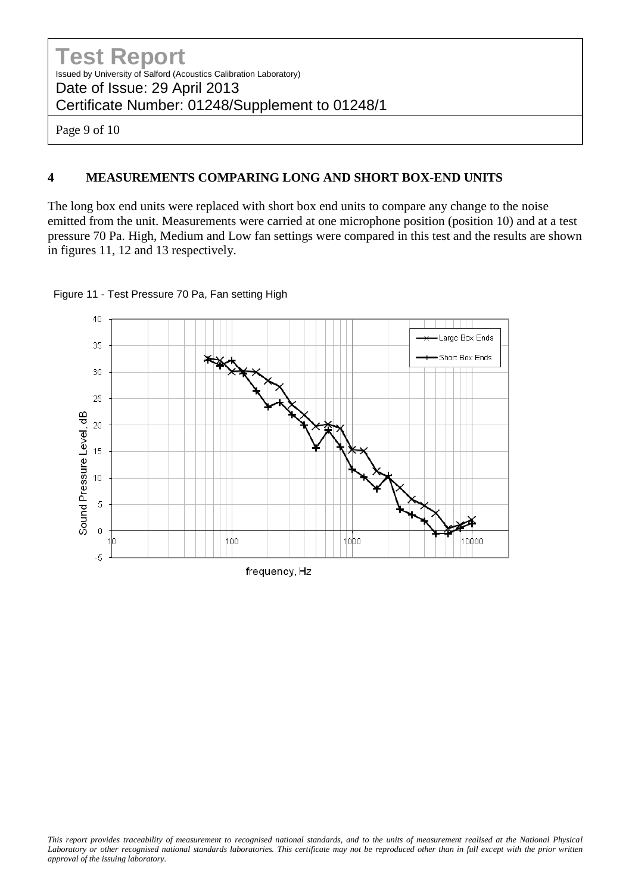Page 9 of 10

#### **4 MEASUREMENTS COMPARING LONG AND SHORT BOX-END UNITS**

The long box end units were replaced with short box end units to compare any change to the noise emitted from the unit. Measurements were carried at one microphone position (position 10) and at a test pressure 70 Pa. High, Medium and Low fan settings were compared in this test and the results are shown in figures 11, 12 and 13 respectively.